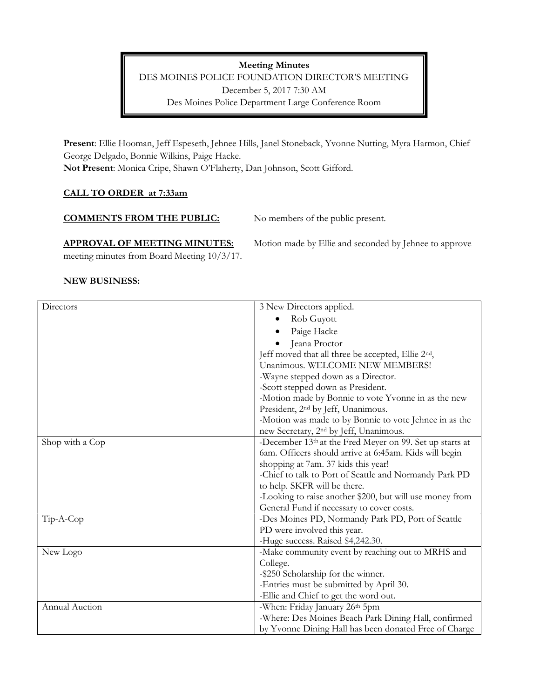Meeting Minutes DES MOINES POLICE FOUNDATION DIRECTOR'S MEETING December 5, 2017 7:30 AM Des Moines Police Department Large Conference Room

Present: Ellie Hooman, Jeff Espeseth, Jehnee Hills, Janel Stoneback, Yvonne Nutting, Myra Harmon, Chief George Delgado, Bonnie Wilkins, Paige Hacke. Not Present: Monica Cripe, Shawn O'Flaherty, Dan Johnson, Scott Gifford.

## CALL TO ORDER at 7:33am

#### COMMENTS FROM THE PUBLIC: No members of the public present.

# APPROVAL OF MEETING MINUTES: Motion made by Ellie and seconded by Jehnee to approve

meeting minutes from Board Meeting 10/3/17.

### NEW BUSINESS:

| Directors       | 3 New Directors applied.                                       |
|-----------------|----------------------------------------------------------------|
|                 | Rob Guyott                                                     |
|                 | Paige Hacke                                                    |
|                 | Jeana Proctor                                                  |
|                 | Jeff moved that all three be accepted, Ellie 2 <sup>nd</sup> , |
|                 | Unanimous. WELCOME NEW MEMBERS!                                |
|                 | -Wayne stepped down as a Director.                             |
|                 | -Scott stepped down as President.                              |
|                 | -Motion made by Bonnie to vote Yvonne in as the new            |
|                 | President, 2 <sup>nd</sup> by Jeff, Unanimous.                 |
|                 | -Motion was made to by Bonnie to vote Jehnee in as the         |
|                 | new Secretary, 2 <sup>nd</sup> by Jeff, Unanimous.             |
| Shop with a Cop | -December 13th at the Fred Meyer on 99. Set up starts at       |
|                 | 6am. Officers should arrive at 6:45am. Kids will begin         |
|                 | shopping at 7am. 37 kids this year!                            |
|                 | -Chief to talk to Port of Seattle and Normandy Park PD         |
|                 | to help. SKFR will be there.                                   |
|                 | -Looking to raise another \$200, but will use money from       |
|                 | General Fund if necessary to cover costs.                      |
| Tip-A-Cop       | -Des Moines PD, Normandy Park PD, Port of Seattle              |
|                 | PD were involved this year.                                    |
|                 | -Huge success. Raised \$4,242.30.                              |
| New Logo        | -Make community event by reaching out to MRHS and              |
|                 | College.                                                       |
|                 | -\$250 Scholarship for the winner.                             |
|                 | -Entries must be submitted by April 30.                        |
|                 | -Ellie and Chief to get the word out.                          |
| Annual Auction  | -When: Friday January 26th 5pm                                 |
|                 | -Where: Des Moines Beach Park Dining Hall, confirmed           |
|                 | by Yvonne Dining Hall has been donated Free of Charge          |